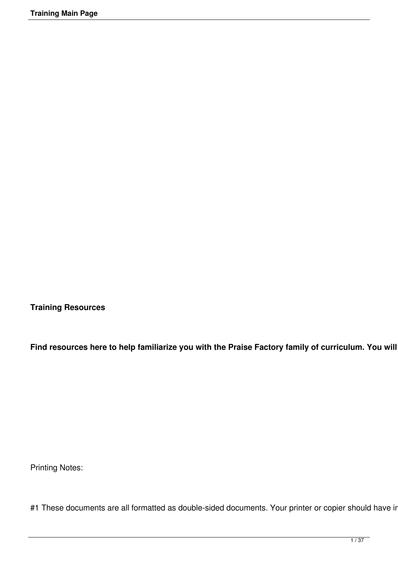**Training Resources**

Find resources here to help familiarize you with the Praise Factory family of curriculum. You will

Printing Notes:

#1 These documents are all formatted as double-sided documents. Your printer or copier should have in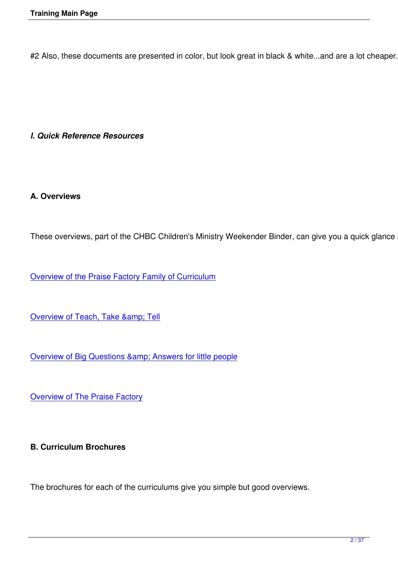#2 Also, these documents are presented in color, but look great in black & white...and are a lot cheaper. Sa

#### *I. Quick Reference Resources*

## **A. Overviews**

These overviews, part of the CHBC Children's Ministry Weekender Binder, can give you a quick glance at t

Overview of the Praise Factory Family of Curriculum

Overview of Teach, Take & amp; Tell

Overview of Big Questions & amp; Answers for little people

**[Overview of The Praise Factory](images/Weekender Binder Portions/BQA Overview.pdf)** 

## **B. Curriculum Brochures**

The brochures for each of the curriculums give you simple but good overviews.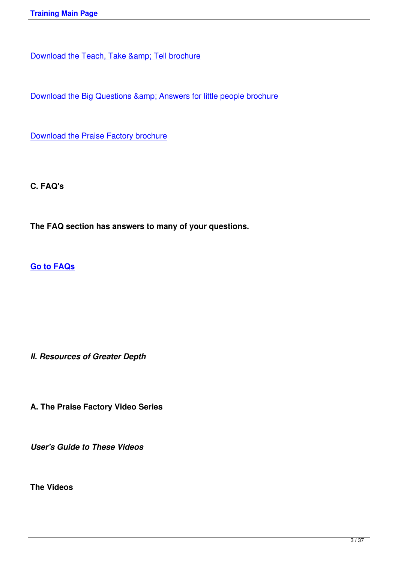Download the Big Questions & amp; Answers for little people brochure

[Download the Praise Factory brochure](images/BQA/Curriculum downloads/BQA Intro Brochure 032510/032510BQA Brochure.pdf)

**C. FAQ's**

**The FAQ section has answers to many of your questions.**

**Go to FAQs**

*II. Resources of Greater Depth*

**A. The Praise Factory Video Series** 

*User's Guide to These Videos*

**The Videos**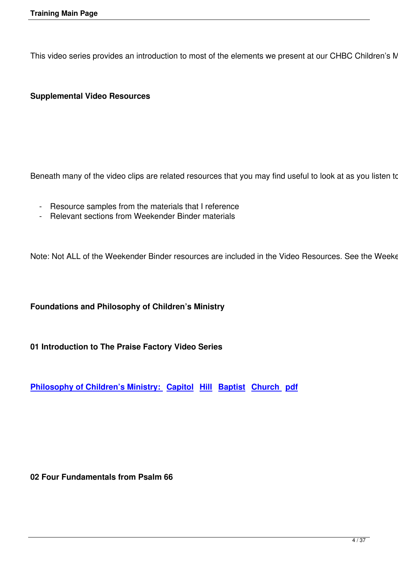This video series provides an introduction to most of the elements we present at our CHBC Children's Minis

### **Supplemental Video Resources**

Beneath many of the video clips are related resources that you may find useful to look at as you listen to m

- Resource samples from the materials that I reference
- Relevant sections from Weekender Binder materials

Note: Not ALL of the Weekender Binder resources are included in the Video Resources. See the Weekend

#### **Foundations and Philosophy of Children's Ministry**

**01 Introduction to The Praise Factory Video Series**

**Philosophy of Children's Ministry: Capitol Hill Baptist Church pdf**

**02 Four Fundamentals from Psalm 66**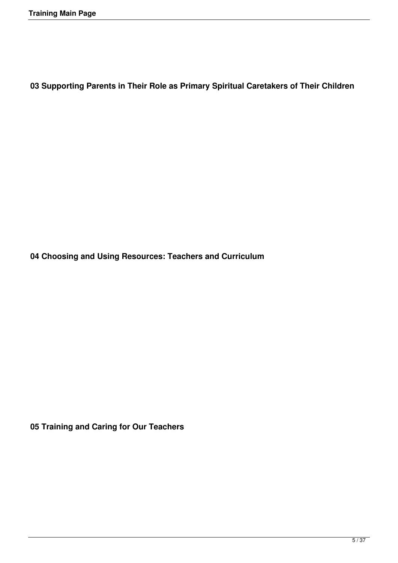**03 Supporting Parents in Their Role as Primary Spiritual Caretakers of Their Children**

**04 Choosing and Using Resources: Teachers and Curriculum**

**05 Training and Caring for Our Teachers**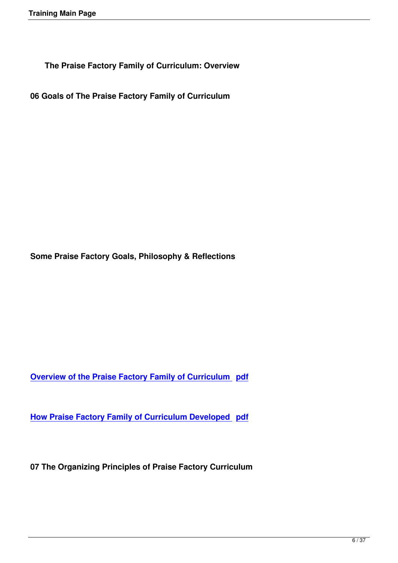**The Praise Factory Family of Curriculum: Overview**

**06 Goals of The Praise Factory Family of Curriculum**

**Some Praise Factory Goals, Philosophy & Reflections**

**Overview of the Praise Factory Family of Curriculum pdf** 

**[How Praise Factory Family of Curriculum Developed pdf](images/Weekender Binder Portions/PF Family Overview.pdf)**

**07 The Organizing Principles of Praise Factory Curriculum**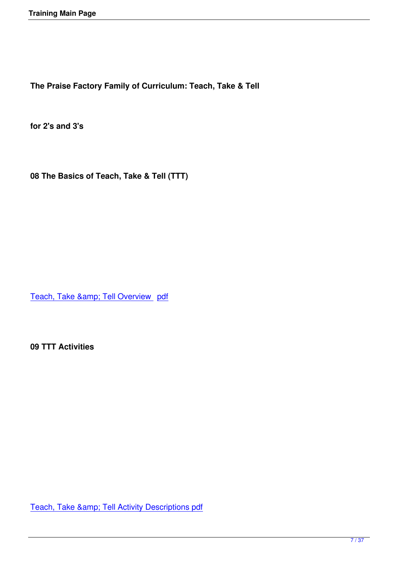**The Praise Factory Family of Curriculum: Teach, Take & Tell**

**for 2's and 3's** 

**08 The Basics of Teach, Take & Tell (TTT)**

Teach, Take & amp; Tell Overview pdf

**09 TTT Activities** 

Teach, Take & amp; Tell Activity Descriptions pdf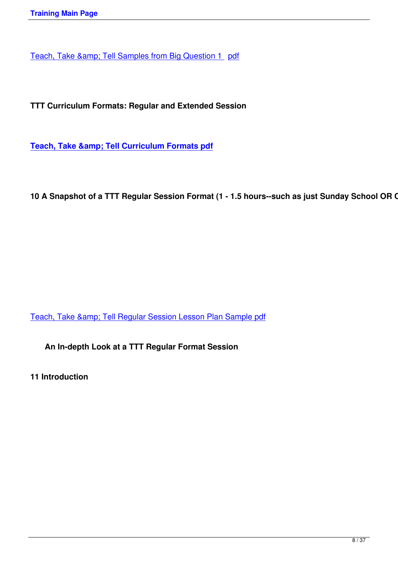**TTT Curriculum Formats: Regular and Extended Session**

**Teach, Take & amp; Tell Curriculum Formats pdf** 

10 A Snapshot of a TTT Regular Session Format (1 - 1.5 hours--such as just Sunday School OR Chu

Teach, Take & amp; Tell Regular Session Lesson Plan Sample pdf

**[An In-depth Look at a TTT Regular Format Session](images/Weekender Binder Portions/Teach, Take & Tell Sample Lesson Plan Regular Sessionpdf.pdf)**

**11 Introduction**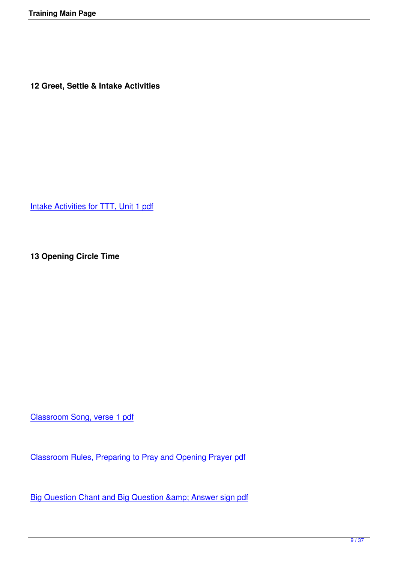**12 Greet, Settle & Intake Activities**

Intake Activities for TTT, Unit 1 pdf

**13 Opening Circle Time**

Classroom Song, verse 1 pdf

[Classroom Rules, Preparing t](images/Weekender Binder Portions/Documents for Training Video on Website/13 Classroom Song v1.pdf)o Pray and Opening Prayer pdf

Big Question Chant and Big Question & amp; Answer sign pdf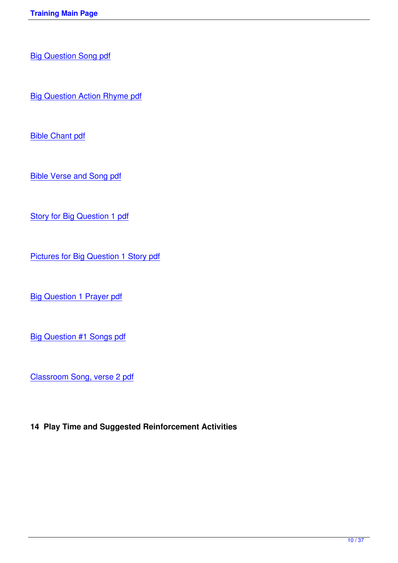Big Question Song pdf

[Big Question Action Rh](images/Weekender Binder Portions/Documents for Training Video on Website/13 BQ Song.pdf)yme pdf

[Bible Chant pdf](images/Weekender Binder Portions/Documents for Training Video on Website/13 BQ Action Rhyme.pdf)

[Bible Verse and](images/Weekender Binder Portions/Documents for Training Video on Website/13 Bible Chant.pdf) Song pdf

**[Story for Big Question 1 p](images/Weekender Binder Portions/Documents for Training Video on Website/13 Bible Verse and Song.pdf)df** 

[Pictures for Big Question 1 S](images/Weekender Binder Portions/Documents for Training Video on Website/13 Story for BQ 1.pdf)tory pdf

**[Big Question 1 Prayer pdf](images/Weekender Binder Portions/Documents for Training Video on Website/13 Story Pictures for BQ 1.pdf)** 

[Big Question #1 Songs pd](images/Weekender Binder Portions/Documents for Training Video on Website/13 BQ 1 Prayer.pdf)f

[Classroom Song, verse 2 p](images/Weekender Binder Portions/Documents for Training Video on Website/13 BQ 1 Hymn and Praise Song.pdf)df

**14 Play Time and Suggested Reinforcement Activities**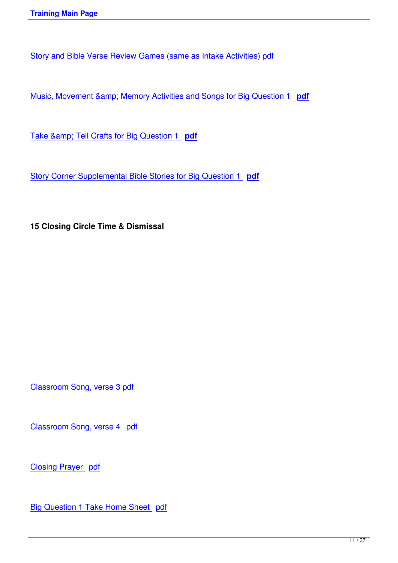Story and Bible Verse Review Games (same as Intake Activities) pdf

Music, Movement & amp; Memory Activities and Songs for Big Question 1 **pdf** 

Take & amp; Tell Crafts for Big Question 1 **pdf** 

[Story Corner Supplemental Bible Stories for Big](images/Weekender Binder Portions/Documents for Training Video on Website/14 BQ 1 Take & Tell Crafts.pdf) Question 1 **pdf**

**15 Closing Circle Time & Dismissal**

Classroom Song, verse 3 pdf

[Classroom Song, verse 4 pd](images/Weekender Binder Portions/Documents for Training Video on Website/15 Classroom Song v3.pdf)f

[Closing Prayer pdf](images/Weekender Binder Portions/Documents for Training Video on Website/15 Classroom Song v4.pdf)

**[Big Question 1 Take](images/Weekender Binder Portions/Documents for Training Video on Website/15 Closing Prayer.pdf) Home Sheet pdf**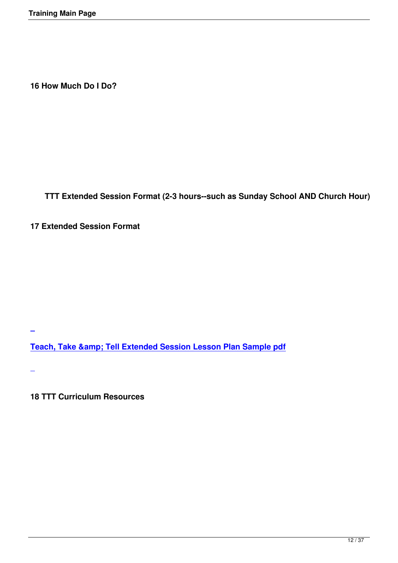**16 How Much Do I Do?**

**TTT Extended Session Format (2-3 hours--such as Sunday School AND Church Hour)**

**17 Extended Session Format**

**Teach, Take & amp; Tell Extended Session Lesson Plan Sample pdf** 

**[1](images/Weekender Binder Portions/Teach, Take & Tell Sample Lesson Plan Extended Sessionpdf.pdf)8 TTT Curriculum Resources**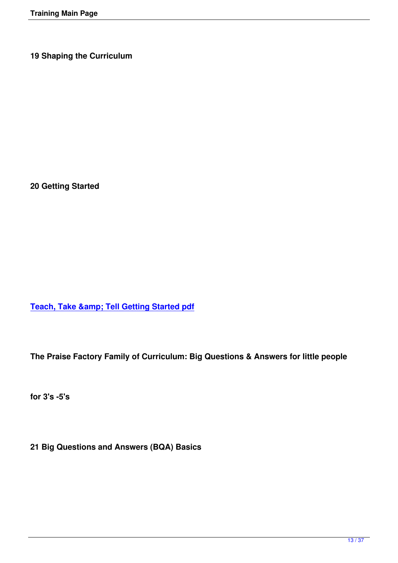**19 Shaping the Curriculum**

**20 Getting Started**

**Teach, Take & amp; Tell Getting Started pdf** 

**The Praise Factory Family of Curriculum: Big Questions & Answers for little people**

**for 3's -5's**

**21 Big Questions and Answers (BQA) Basics**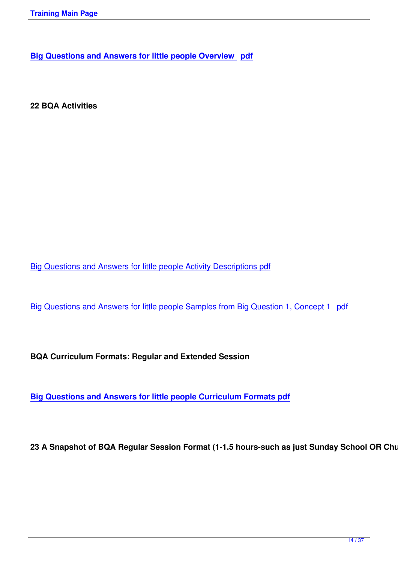**22 BQA Activities**

Big Questions and Answers for little people Activity Descriptions pdf

[Big Questions and Answers for little people Samples from Big Quest](images/Weekender Binder Portions/BQA Activity Descriptions.pdf)ion 1, Concept 1 pdf

**BQA Curriculum Formats: Regular and Extended Session**

**Big Questions and Answers for little people Curriculum Formats pdf**

23 A Snapshot of BQA Regular Session Format (1-1.5 hours-such as just Sunday School OR Churcl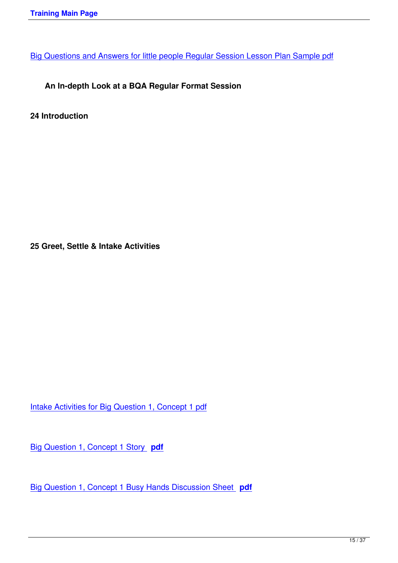# **[An In-depth Look at a BQA Regular Format Session](images/Weekender Binder Portions/BQA Sample Lesson Plan Regular Session.pdf)**

**24 Introduction**

**25 Greet, Settle & Intake Activities**

Intake Activities for Big Question 1, Concept 1 pdf

[Big Question 1, Concept 1 Story](images/Weekender Binder Portions/Documents for Training Video on Website/25 Intake Activities for 1.1.pdf) **pdf**

[Big Question 1, Concept 1 Busy Hand](images/Weekender Binder Portions/Documents for Training Video on Website/25 Bible Story for 1.1.pdf)s Discussion Sheet **pdf**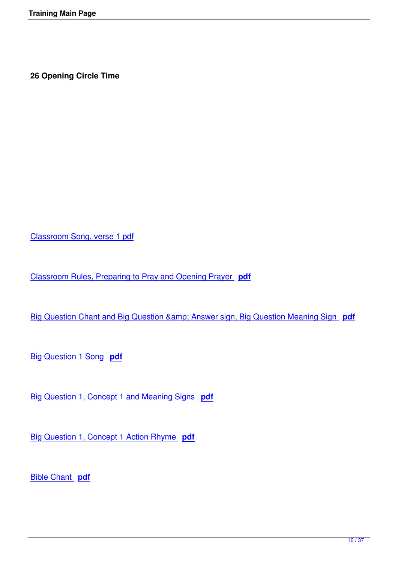**26 Opening Circle Time**

Classroom Song, verse 1 pdf

[Classroom Rules, Preparing t](images/Weekender Binder Portions/Documents for Training Video on Website/26 Classroom Song, verse 1.pdf)o Pray and Opening Prayer **pdf**

[Big Question Chant and Big Question & Answer sign](images/Weekender Binder Portions/Documents for Training Video on Website/26 Class Rules, Prep Pray Open Prayer.pdf), [Big](images/Weekender Binder Portions/Documents for Training Video on Website/26 Class Rules, Prep Pray Open Prayer.pdf) Question Meaning Sign **pdf**

[Big Question 1 Song](images/Weekender Binder Portions/Documents for Training Video on Website/26 BQ Chant, Q A Sign Meaningpdf.pdf) **pdf**

[Big Question 1, Concept 1](images/Weekender Binder Portions/Documents for Training Video on Website/26 BQ 1 Song.pdf) and Meaning Signs **pdf**

[Big Question 1, Concept 1 Action Rhyme](images/Weekender Binder Portions/Documents for Training Video on Website/26 Concept 1.1 sign and meaning.pdf) **pdf**

[Bible Chant](images/Weekender Binder Portions/Documents for Training Video on Website/26 Concept 1.1 Action Rhyme.pdf) **pdf**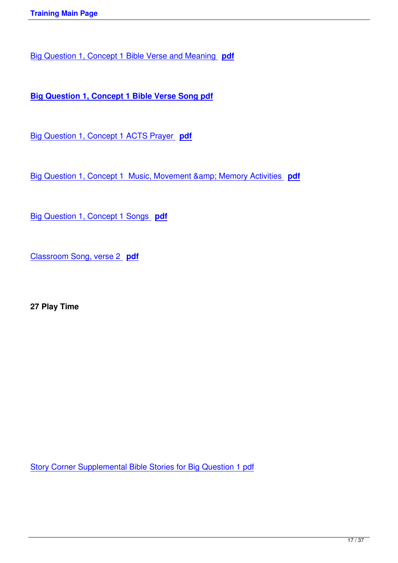Big Question 1, Concept 1 Bible Verse and Meaning **pdf**

**[Big Question 1, Concept 1 Bible Verse Song pdf](images/Weekender Binder Portions/Documents for Training Video on Website/26 Bible Verse and meaning.pdf)**

[Big Question 1, Concept 1 ACTS Prayer](images/Weekender Binder Portions/Documents for Training Video on Website/26 Bible Verse Song.pdf) **pdf**

[Big Question 1, Concept 1 Music, Movement](images/Weekender Binder Portions/Documents for Training Video on Website/28 1.1 ACTS Prayer.pdf) & amp; Memory Activities pdf

[Big Question 1, Concept 1 Songs](images/Weekender Binder Portions/Documents for Training Video on Website/26 BQ 1.1 MMM.pdf) **pdf**

[Classroom Song, verse 2](images/Weekender Binder Portions/Documents for Training Video on Website/26 BQ 1.1 Songs.pdf) **pdf**

**27 Play Time**

Story Corner Supplemental Bible Stories for Big Question 1 pdf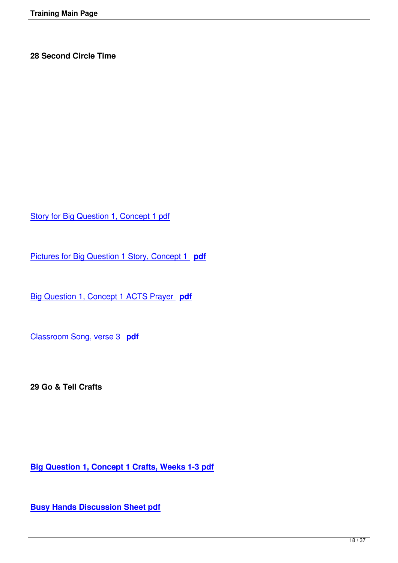Story for Big Question 1, Concept 1 pdf

[Pictures for Big Question 1 Story, Conc](images/Weekender Binder Portions/Documents for Training Video on Website/28 1.1.STorypdf.pdf)ept 1 **pdf**

[Big Question 1, Concept 1 ACTS Prayer](images/Weekender Binder Portions/Documents for Training Video on Website/28 Pictures 1.1 Story.pdf) **pdf**

[Classroom Song, verse 3](images/Weekender Binder Portions/Documents for Training Video on Website/28 1.1 ACTS Prayer.pdf) **pdf**

**29 Go & Tell Crafts**

**Big Question 1, Concept 1 Crafts, Weeks 1-3 pdf**

**[Busy Hands Discussion Sheet pdf](images/Weekender Binder Portions/Documents for Training Video on Website/29 1.1 Crafts.pdf)**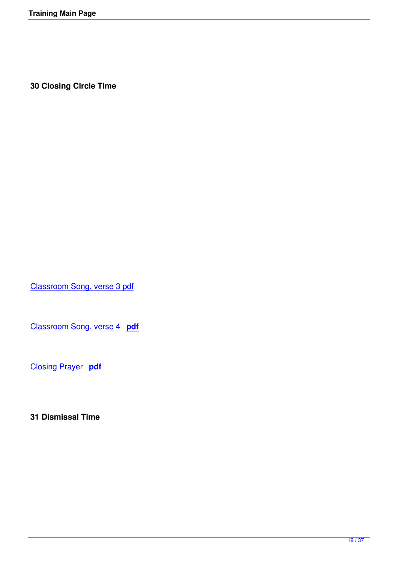**30 Closing Circle Time**

Classroom Song, verse 3 pdf

[Classroom Song, verse 4](images/Weekender Binder Portions/Documents for Training Video on Website/30 Classroom Song, verse 3.pdf) **pdf**

[Closing Prayer](images/Weekender Binder Portions/Documents for Training Video on Website/30 Classroom Song, verse 4.pdf) **pdf**

**31 Dismissal Time**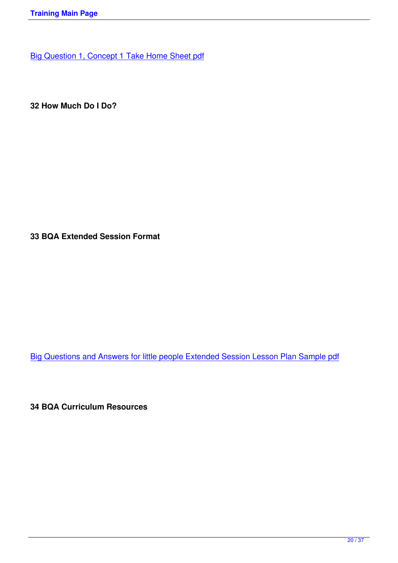**32 How Much Do I Do?**

**33 BQA Extended Session Format**

Big Questions and Answers for little people Extended Session Lesson Plan Sample pdf

**34 BQA Curriculum Resources**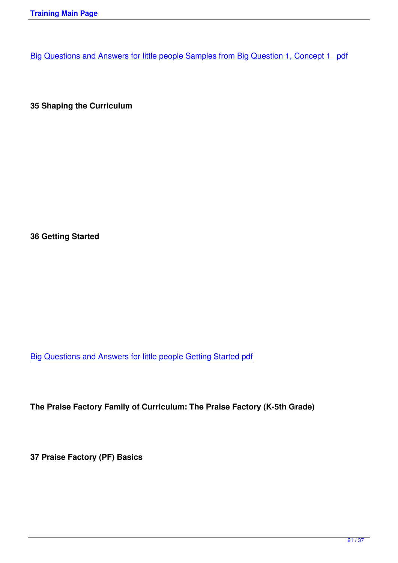**35 Shaping the Curriculum**

**36 Getting Started**

Big Questions and Answers for little people Getting Started pdf

**The Praise Factory Family of Curriculum: The Praise Factory (K-5th Grade)**

**37 Praise Factory (PF) Basics**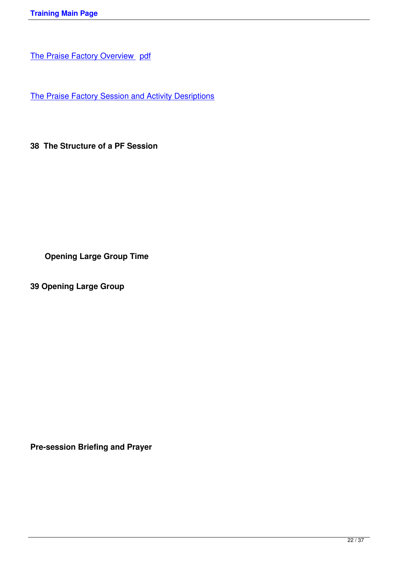[The Praise Factory Session and A](images/Weekender Binder Portions/PF Overview.pdf)ctivity Desriptions

**38 The Structure of a PF Session**

**Opening Large Group Time**

**39 Opening Large Group**

**Pre-session Briefing and Prayer**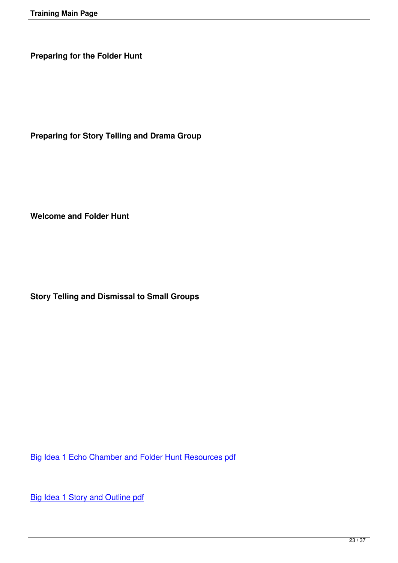**Preparing for the Folder Hunt**

**Preparing for Story Telling and Drama Group**

**Welcome and Folder Hunt**

**Story Telling and Dismissal to Small Groups**

Big Idea 1 Echo Chamber and Folder Hunt Resources pdf

[Big Idea 1 Story and Outline pdf](images/Weekender Binder Portions/Documents for Training Video on Website/39 Echo Chamber BI 1.pdf)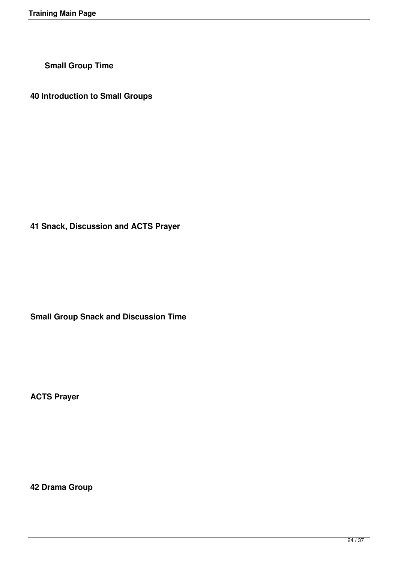**Small Group Time**

**40 Introduction to Small Groups**

**41 Snack, Discussion and ACTS Prayer**

**Small Group Snack and Discussion Time**

**ACTS Prayer**

**42 Drama Group**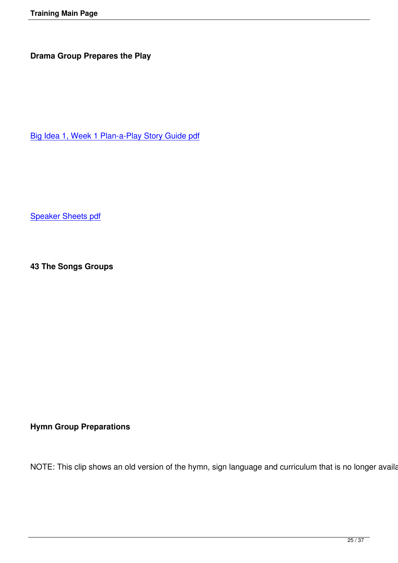Big Idea 1, Week 1 Plan-a-Play Story Guide pdf

Speaker Sheets pdf

**43 The Songs Groups**

# **Hymn Group Preparations**

NOTE: This clip shows an old version of the hymn, sign language and curriculum that is no longer available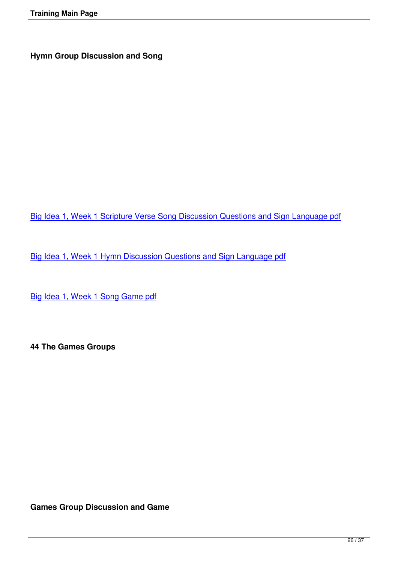Big Idea 1, Week 1 Scripture Verse Song Discussion Questions and Sign Language pdf

[Big Idea 1, Week 1 Hymn Discussion Questions and Sign Language pdf](images/Weekender Binder Portions/Documents for Training Video on Website/43 Big Idea 1 SV Song Dis and SL.pdf)

[Big Idea 1, Week 1 Song Game pdf](images/Weekender Binder Portions/Documents for Training Video on Website/43 Big Idea 1 Hymn Dis and SL.pdf)

**44 The Games Groups**

**Games Group Discussion and Game**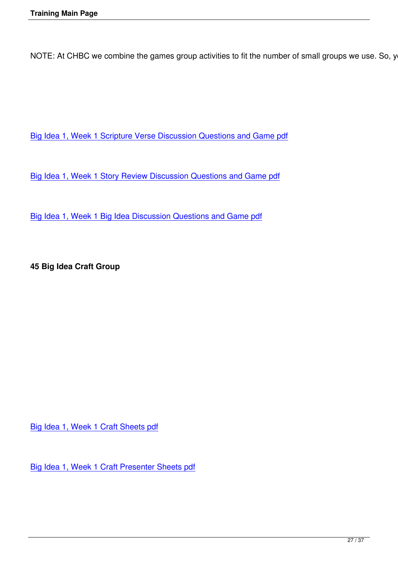NOTE: At CHBC we combine the games group activities to fit the number of small groups we use. So, you

Big Idea 1, Week 1 Scripture Verse Discussion Questions and Game pdf

[Big Idea 1, Week 1 Story Review Discussion Questions and Game pdf](images/Weekender Binder Portions/Documents for Training Video on Website/44 BI 1 week 1 SV Dis and Game.pdf)

[Big Idea 1, Week 1 Big Idea Discussion Questions and Game pdf](images/Weekender Binder Portions/Documents for Training Video on Website/44 BI 1 week 1 SR Dis and Game.pdf)

**45 Big Idea Craft Group**

Big Idea 1, Week 1 Craft Sheets pdf

[Big Idea 1, Week 1 Craft Presenter S](images/Weekender Binder Portions/Documents for Training Video on Website/45 Craft Sheets.pdf)heets pdf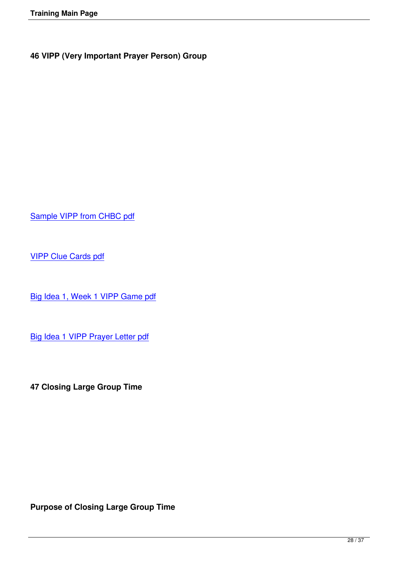Sample VIPP from CHBC pdf

[VIPP Clue Cards pdf](images/Weekender Binder Portions/Documents for Training Video on Website/46 VIPP Sample from CHBC.pdf)

[Big Idea 1, Week 1 V](images/Weekender Binder Portions/Documents for Training Video on Website/46 VIPP Clue Cards.pdf)IPP Game pdf

[Big Idea 1 VIPP Prayer Letter pdf](images/Weekender Binder Portions/Documents for Training Video on Website/46 VIPP Game BI 1, Wk 1.pdf)

**47 Closing Large Group Time**

**Purpose of Closing Large Group Time**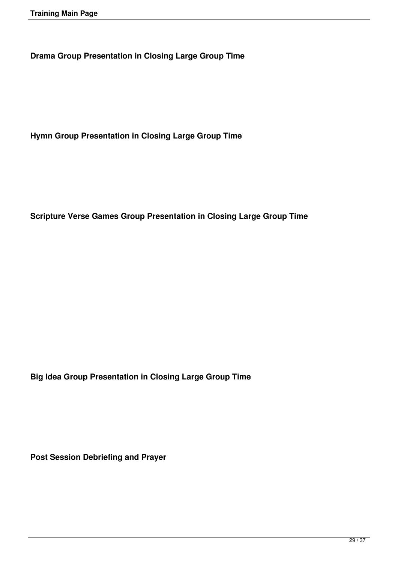**Drama Group Presentation in Closing Large Group Time**

**Hymn Group Presentation in Closing Large Group Time**

**Scripture Verse Games Group Presentation in Closing Large Group Time**

**Big Idea Group Presentation in Closing Large Group Time**

**Post Session Debriefing and Prayer**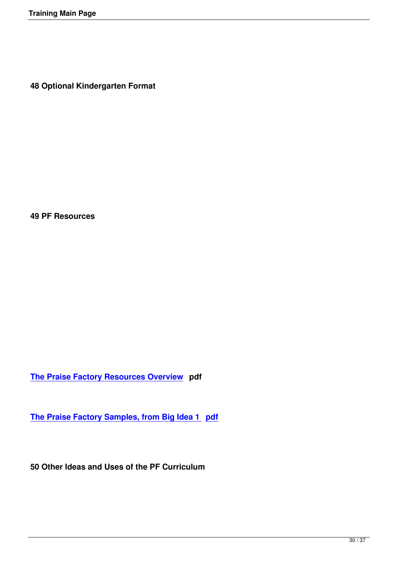**48 Optional Kindergarten Format**

**49 PF Resources**

**The Praise Factory Resources Overview pdf**

**[The Praise Factory Samples, from Big Id](images/Weekender Binder Portions/PF Resources Overview.pdf)ea 1 pdf** 

**50 Other Ideas and Uses of the PF Curriculum**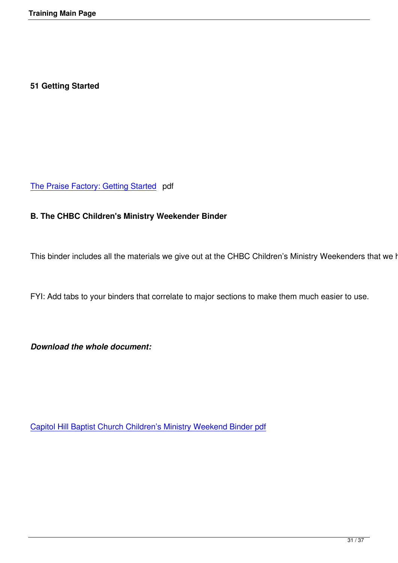## **51 Getting Started**

The Praise Factory: Getting Started pdf

## **[B. The CHBC Children](images/Weekender Binder Portions/9 20 2010 PF Getting Started.pdf)'[s Ministry](images/Weekender Binder Portions/9 20 2010 PF Getting Started.pdf) Weekender Binder**

This binder includes all the materials we give out at the CHBC Children's Ministry Weekenders that we hold

FYI: Add tabs to your binders that correlate to major sections to make them much easier to use.

*Download the whole document:*

Capitol Hill Baptist Church Children's Ministry Weekend Binder pdf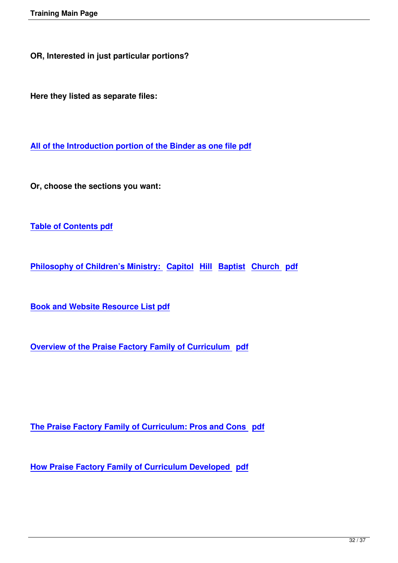**OR, Interested in just particular portions?**

**Here they listed as separate files:**

**All of the Introduction portion of the Binder as one file pdf**

**[Or, choose the sections you want:](images/Weekender Binder Portions/1 15 2011 Intro Section.pdf)**

**Table of Contents pdf**

**[Philosophy of Childre](images/Weekender Binder Portions/Table of Contents.pdf)n's Ministry: Capitol Hill Baptist Church pdf**

**[Book and Website Resource List pdf](images/Weekender Binder Portions/1 15 2011Philsopohy Section.pdf)** 

**[Overview of the Praise Factory Famil](images/Weekender Binder Portions/1 15 2011 Book and Website Resource List.pdf)y of Curriculum pdf**

**The Praise Factory Family of Curriculum: Pros and Cons pdf**

**[How Praise Factory Family of Curriculum Developed pdf](images/Weekender Binder Portions/PF Fam Pros and Cons.pdf)**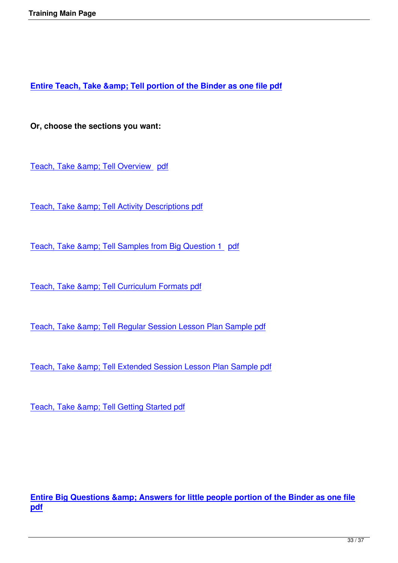**Entire Teach, Take & amp; Tell portion of the Binder as one file pdf** 

**[Or, choose the sections you want:](images/Weekender Binder Portions/1 15 2011 TTT.pdf)** 

Teach, Take & amp; Tell Overview pdf

Teach, Take & amp; Tell Activity Descriptions pdf

Teach, Take & amp; Tell Samples from Big Question 1 pdf

Teach, Take & amp; Tell Curriculum Formats pdf

Teach, Take & amp; Tell Regular Session Lesson Plan Sample pdf

Teach, Take & amp; Tell Extended Session Lesson Plan Sample pdf

Teach, Take & amp; Tell Getting Started pdf

**Entire Big Questions & amp; Answers for little people portion of the Binder as one file pdf**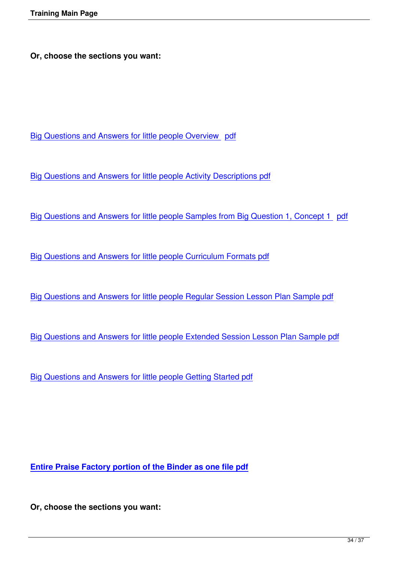**Or, choose the sections you want:** 

Big Questions and Answers for little people Overview pdf

[Big Questions and Answers for little people Activity Descrip](images/Weekender Binder Portions/BQA Overview.pdf)tions pdf

[Big Questions and Answers for little people Samples from Big Quest](images/Weekender Binder Portions/BQA Activity Descriptions.pdf)ion 1, Concept 1 pdf

[Big Questions and Answers for little people Curriculum Formats pdf](images/Weekender Binder Portions/BQA Activity Samples.pdf)

[Big Questions and Answers for little people Regular Session Lesson](images/Weekender Binder Portions/9 22 2010 BQA curriculum formats.pdf) Plan Sample pdf

[Big Questions and Answers for little people Extended Session Lesson Plan Sample pd](images/Weekender Binder Portions/BQA Sample Lesson Plan Regular Session.pdf)f

[Big Questions and Answers for little people Getting Started pdf](images/Weekender Binder Portions/BQA Sample Lesson Plan Extended Session.pdf)

**Entire Praise Factory portion of the Binder as one file pdf**

**[Or, choose the sections you want:](images/Weekender Binder Portions/1 15 2011 PF.pdf)**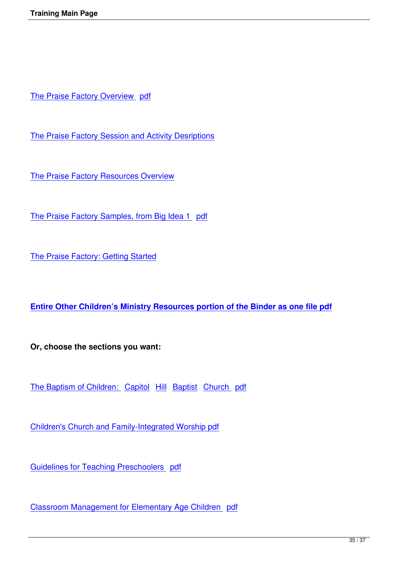The Praise Factory Overview pdf

[The Praise Factory Session and A](images/Weekender Binder Portions/PF Overview.pdf)ctivity Desriptions

**[The Praise Factory Resources Overview](images/Weekender Binder Portions/PF Activity and Session Overviews.pdf)** 

[The Praise Factory Samples, from Big Id](images/Weekender Binder Portions/PF Resources Overview.pdf)ea 1 pdf

[The Praise Factory: Getting Started](images/Weekender Binder Portions/1 15 2011 PF LP and Samples BI 1.pdf)

**Entire Other Children's Ministry Resources portion of the Binder as one file pdf**

**[Or, choose the sections you want:](images/Weekender Binder Portions/1 15 2011 End Section.pdf)**

The Baptism of Children: Capitol Hill Baptist Church pdf

[Children's Church and Family-Integrated Worsh](images/Weekender Binder Portions/Other Child Ministry Baptism of Children CHBC.pdf)i[p pdf](images/Weekender Binder Portions/Other Child Ministry Baptism of Children CHBC.pdf)

[Guidelines for Teaching Preschoolers pdf](images/Weekender Binder Portions/9 21 Children C and FI Worship.pdf)

[Classroom Management for Elementary Ag](images/Weekender Binder Portions/Other Child Ministry Preschool Guidelines.pdf)e Children pdf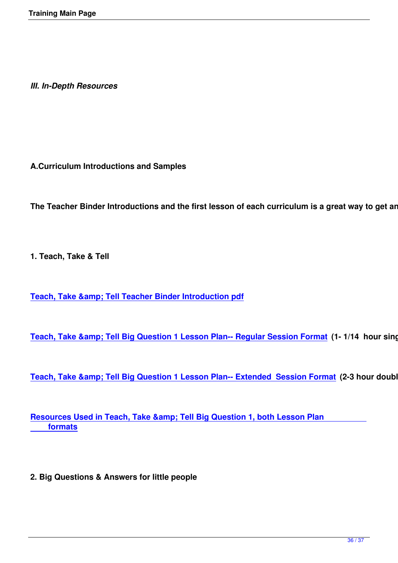*III. In-Depth Resources*

**A.Curriculum Introductions and Samples**

The Teacher Binder Introductions and the first lesson of each curriculum is a great way to get an in-

**1. Teach, Take & Tell**

**Teach, Take & amp; Tell Teacher Binder Introduction pdf** 

**Teach, Take & amp; Tell Big Question 1 Lesson Plan-- Regular Session Format (1- 1/14 hour single** 

Teach, Take & amp; Tell Big Question 1 Lesson Plan-- Extended Session Format (2-3 hour double s

**Resources Used in Teach, Take & amp; Tell Big Question 1, both Lesson Plan formats**

**2. Big Questions & Answers for little people**